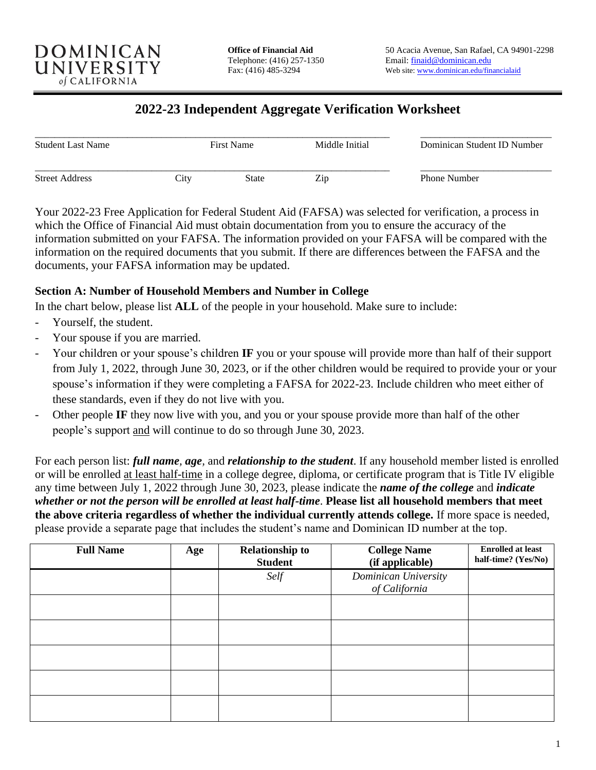

### **2022-23 Independent Aggregate Verification Worksheet**

| <b>Student Last Name</b> |      | <b>First Name</b> | Middle Initial | Dominican Student ID Number |
|--------------------------|------|-------------------|----------------|-----------------------------|
| <b>Street Address</b>    | City | State             | Zip            | <b>Phone Number</b>         |

Your 2022-23 Free Application for Federal Student Aid (FAFSA) was selected for verification, a process in which the Office of Financial Aid must obtain documentation from you to ensure the accuracy of the information submitted on your FAFSA. The information provided on your FAFSA will be compared with the information on the required documents that you submit. If there are differences between the FAFSA and the documents, your FAFSA information may be updated.

#### **Section A: Number of Household Members and Number in College**

In the chart below, please list **ALL** of the people in your household. Make sure to include:

- Yourself, the student.
- Your spouse if you are married.
- Your children or your spouse's children **IF** you or your spouse will provide more than half of their support from July 1, 2022, through June 30, 2023, or if the other children would be required to provide your or your spouse's information if they were completing a FAFSA for 2022-23. Include children who meet either of these standards, even if they do not live with you.
- Other people IF they now live with you, and you or your spouse provide more than half of the other people's support and will continue to do so through June 30, 2023.

For each person list: *full name, age,* and *relationship to the student*. If any household member listed is enrolled or will be enrolled at least half-time in a college degree, diploma, or certificate program that is Title IV eligible any time between July 1, 2022 through June 30, 2023, please indicate the *name of the college* and *indicate whether or not the person will be enrolled at least half-time*. **Please list all household members that meet the above criteria regardless of whether the individual currently attends college.** If more space is needed, please provide a separate page that includes the student's name and Dominican ID number at the top.

| <b>Full Name</b> | Age | <b>Relationship to</b><br><b>Student</b> | <b>College Name</b><br>(if applicable) | <b>Enrolled at least</b><br>half-time? (Yes/No) |
|------------------|-----|------------------------------------------|----------------------------------------|-------------------------------------------------|
|                  |     | Self                                     | Dominican University<br>of California  |                                                 |
|                  |     |                                          |                                        |                                                 |
|                  |     |                                          |                                        |                                                 |
|                  |     |                                          |                                        |                                                 |
|                  |     |                                          |                                        |                                                 |
|                  |     |                                          |                                        |                                                 |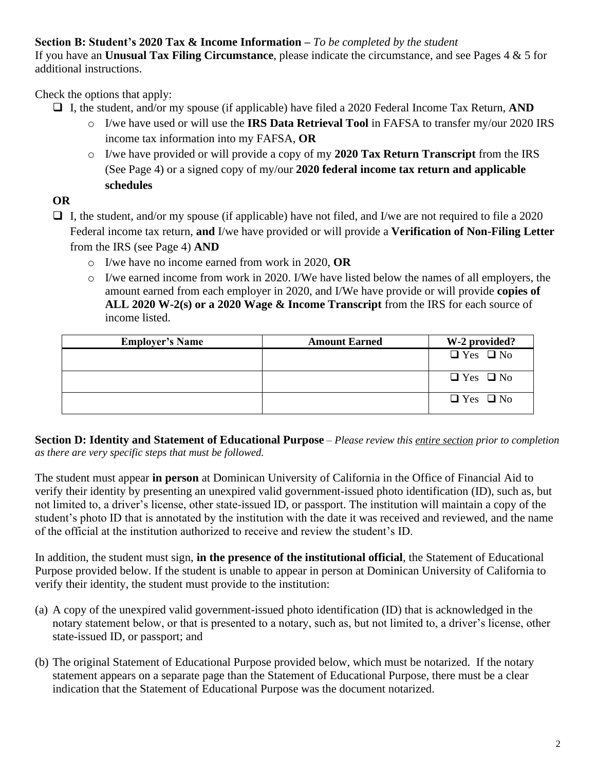**Section B: Student's 2020 Tax & Income Information –** *To be completed by the student* If you have an **Unusual Tax Filing Circumstance**, please indicate the circumstance, and see Pages 4 & 5 for additional instructions.

Check the options that apply:

- ❑ I, the student, and/or my spouse (if applicable) have filed a 2020 Federal Income Tax Return, **AND**
	- o I/we have used or will use the **IRS Data Retrieval Tool** in FAFSA to transfer my/our 2020 IRS income tax information into my FAFSA, **OR**
	- o I/we have provided or will provide a copy of my **2020 Tax Return Transcript** from the IRS (See Page 4) or a signed copy of my/our **2020 federal income tax return and applicable schedules**

**OR**

❑ I, the student, and/or my spouse (if applicable) have not filed, and I/we are not required to file a 2020 Federal income tax return, **and** I/we have provided or will provide a **Verification of Non-Filing Letter** from the IRS (see Page 4) **AND**

- o I/we have no income earned from work in 2020, **OR**
- o I/we earned income from work in 2020. I/We have listed below the names of all employers, the amount earned from each employer in 2020, and I/We have provide or will provide **copies of ALL 2020 W-2(s) or a 2020 Wage & Income Transcript** from the IRS for each source of income listed.

| <b>Employer's Name</b> | <b>Amount Earned</b> | W-2 provided?        |
|------------------------|----------------------|----------------------|
|                        |                      | $\Box$ Yes $\Box$ No |
|                        |                      | $\Box$ Yes $\Box$ No |
|                        |                      | $\Box$ Yes $\Box$ No |

**Section D: Identity and Statement of Educational Purpose** – *Please review this entire section prior to completion as there are very specific steps that must be followed.*

The student must appear **in person** at Dominican University of California in the Office of Financial Aid to verify their identity by presenting an unexpired valid government-issued photo identification (ID), such as, but not limited to, a driver's license, other state-issued ID, or passport. The institution will maintain a copy of the student's photo ID that is annotated by the institution with the date it was received and reviewed, and the name of the official at the institution authorized to receive and review the student's ID.

In addition, the student must sign, **in the presence of the institutional official**, the Statement of Educational Purpose provided below. If the student is unable to appear in person at Dominican University of California to verify their identity, the student must provide to the institution:

- (a) A copy of the unexpired valid government-issued photo identification (ID) that is acknowledged in the notary statement below, or that is presented to a notary, such as, but not limited to, a driver's license, other state-issued ID, or passport; and
- (b) The original Statement of Educational Purpose provided below, which must be notarized. If the notary statement appears on a separate page than the Statement of Educational Purpose, there must be a clear indication that the Statement of Educational Purpose was the document notarized.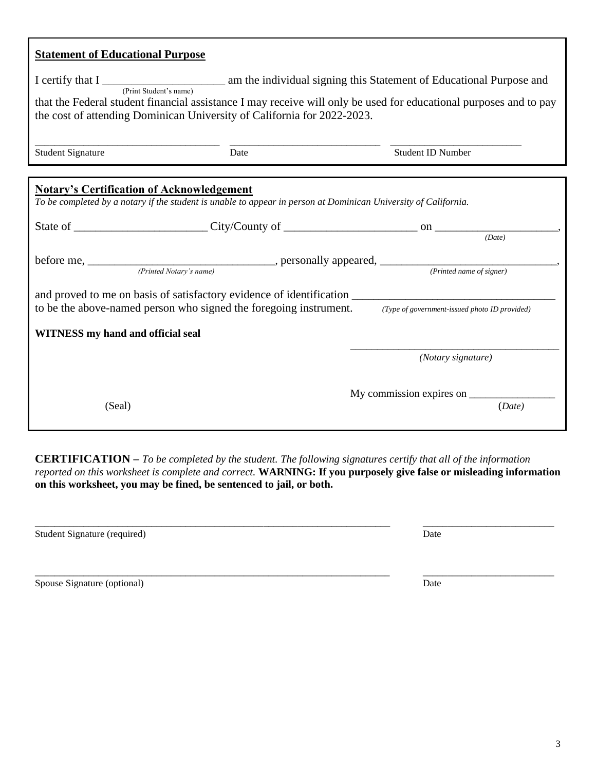| <b>Statement of Educational Purpose</b>                                                                                                                                                                                                                                                                                                               |                          |
|-------------------------------------------------------------------------------------------------------------------------------------------------------------------------------------------------------------------------------------------------------------------------------------------------------------------------------------------------------|--------------------------|
| I certify that I <u>respect of</u> Educational Purpose and (Print Student's name) am the individual signing this Statement of Educational Purpose and<br>that the Federal student financial assistance I may receive will only be used for educational purposes and to pay<br>the cost of attending Dominican University of California for 2022-2023. |                          |
| <b>Student Signature</b><br>Date                                                                                                                                                                                                                                                                                                                      | <b>Student ID Number</b> |
| <b>Notary's Certification of Acknowledgement</b><br>To be completed by a notary if the student is unable to appear in person at Dominican University of California.                                                                                                                                                                                   |                          |
|                                                                                                                                                                                                                                                                                                                                                       | (Date)                   |
| before me, <i>(Printed Notary's name)</i> personally appeared, <i>(Printed name of signer)</i> ( <i>Printed name of signer</i> )                                                                                                                                                                                                                      |                          |
| to be the above-named person who signed the foregoing instrument. (Type of government-issued photo ID provided)                                                                                                                                                                                                                                       |                          |
| <b>WITNESS</b> my hand and official seal                                                                                                                                                                                                                                                                                                              |                          |
|                                                                                                                                                                                                                                                                                                                                                       | (Notary signature)       |
| (Seal)                                                                                                                                                                                                                                                                                                                                                | (Date)                   |

**CERTIFICATION –** *To be completed by the student. The following signatures certify that all of the information reported on this worksheet is complete and correct.* **WARNING: If you purposely give false or misleading information on this worksheet, you may be fined, be sentenced to jail, or both.**

| Student Signature (required) | Date |
|------------------------------|------|
|                              |      |
|                              |      |
|                              |      |
| Spouse Signature (optional)  | Date |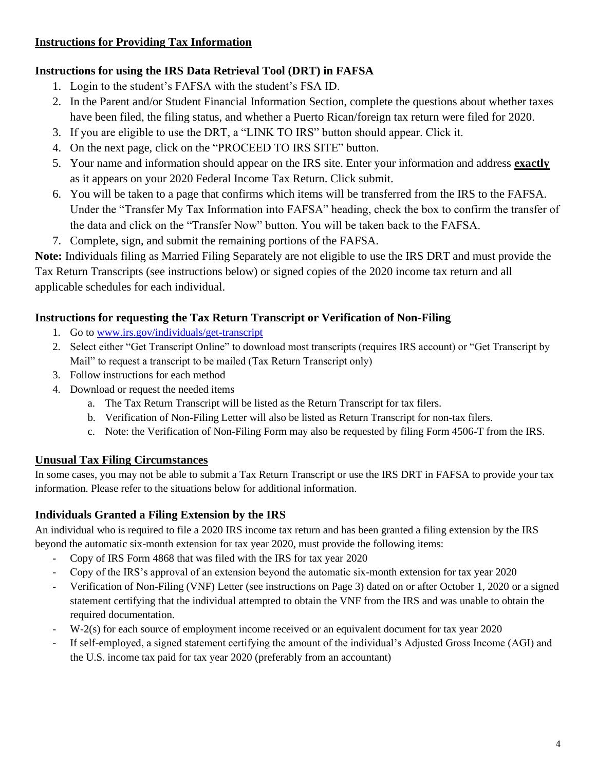### **Instructions for Providing Tax Information**

### **Instructions for using the IRS Data Retrieval Tool (DRT) in FAFSA**

- 1. Login to the student's FAFSA with the student's FSA ID.
- 2. In the Parent and/or Student Financial Information Section, complete the questions about whether taxes have been filed, the filing status, and whether a Puerto Rican/foreign tax return were filed for 2020.
- 3. If you are eligible to use the DRT, a "LINK TO IRS" button should appear. Click it.
- 4. On the next page, click on the "PROCEED TO IRS SITE" button.
- 5. Your name and information should appear on the IRS site. Enter your information and address **exactly** as it appears on your 2020 Federal Income Tax Return. Click submit.
- 6. You will be taken to a page that confirms which items will be transferred from the IRS to the FAFSA. Under the "Transfer My Tax Information into FAFSA" heading, check the box to confirm the transfer of the data and click on the "Transfer Now" button. You will be taken back to the FAFSA.
- 7. Complete, sign, and submit the remaining portions of the FAFSA.

**Note:** Individuals filing as Married Filing Separately are not eligible to use the IRS DRT and must provide the Tax Return Transcripts (see instructions below) or signed copies of the 2020 income tax return and all applicable schedules for each individual.

# **Instructions for requesting the Tax Return Transcript or Verification of Non-Filing**

- 1. Go to [www.irs.gov/individuals/get-transcript](https://www.irs.gov/individuals/get-transcript)
- 2. Select either "Get Transcript Online" to download most transcripts (requires IRS account) or "Get Transcript by Mail" to request a transcript to be mailed (Tax Return Transcript only)
- 3. Follow instructions for each method
- 4. Download or request the needed items
	- a. The Tax Return Transcript will be listed as the Return Transcript for tax filers.
	- b. Verification of Non-Filing Letter will also be listed as Return Transcript for non-tax filers.
	- c. Note: the Verification of Non-Filing Form may also be requested by filing Form 4506-T from the IRS.

# **Unusual Tax Filing Circumstances**

In some cases, you may not be able to submit a Tax Return Transcript or use the IRS DRT in FAFSA to provide your tax information. Please refer to the situations below for additional information.

# **Individuals Granted a Filing Extension by the IRS**

An individual who is required to file a 2020 IRS income tax return and has been granted a filing extension by the IRS beyond the automatic six-month extension for tax year 2020, must provide the following items:

- Copy of IRS Form 4868 that was filed with the IRS for tax year 2020
- Copy of the IRS's approval of an extension beyond the automatic six-month extension for tax year 2020
- Verification of Non-Filing (VNF) Letter (see instructions on Page 3) dated on or after October 1, 2020 or a signed statement certifying that the individual attempted to obtain the VNF from the IRS and was unable to obtain the required documentation.
- W-2(s) for each source of employment income received or an equivalent document for tax year 2020
- If self-employed, a signed statement certifying the amount of the individual's Adjusted Gross Income (AGI) and the U.S. income tax paid for tax year 2020 (preferably from an accountant)